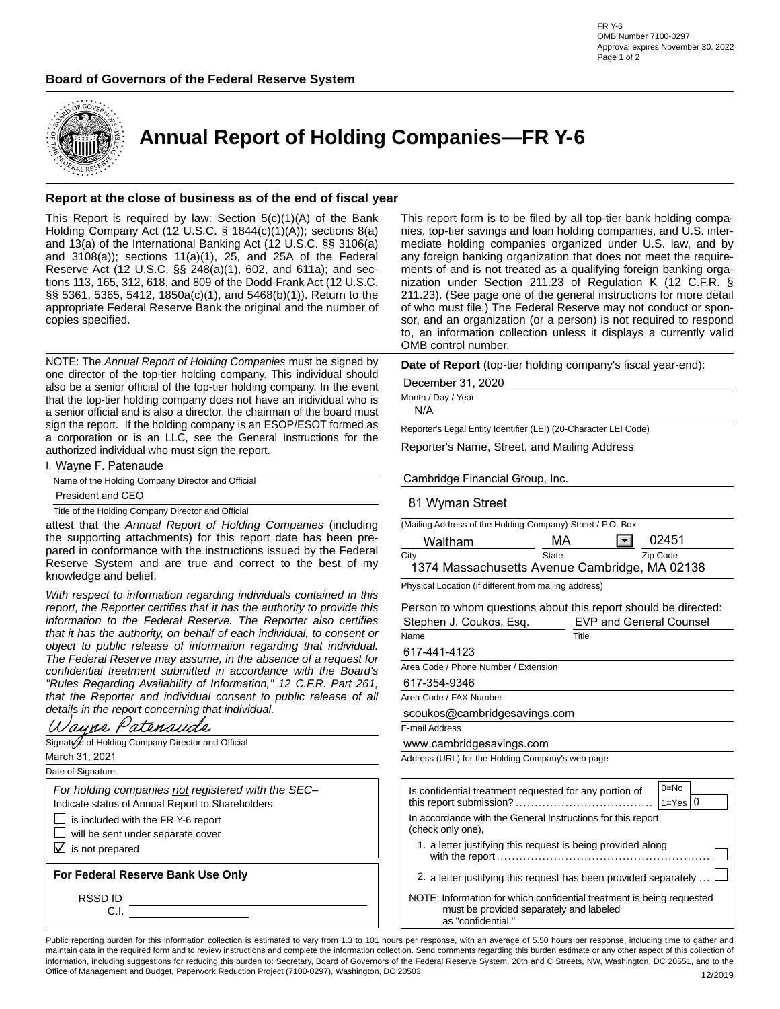

**Annual Report of Holding Companies—FR Y-6**

### **Report at the close of business as of the end of fiscal year**

This Report is required by law: Section  $5(c)(1)(A)$  of the Bank Holding Company Act (12 U.S.C. § 1844(c)(1)(A)); sections 8(a) and 13(a) of the International Banking Act (12 U.S.C. §§ 3106(a) and 3108(a)); sections 11(a)(1), 25, and 25A of the Federal Reserve Act (12 U.S.C. §§ 248(a)(1), 602, and 611a); and sections 113, 165, 312, 618, and 809 of the Dodd-Frank Act (12 U.S.C. §§ 5361, 5365, 5412, 1850a(c)(1), and 5468(b)(1)). Return to the appropriate Federal Reserve Bank the original and the number of copies specified.

NOTE: The *Annual Report of Holding Companies* must be signed by one director of the top-tier holding company. This individual should also be a senior official of the top-tier holding company. In the event that the top-tier holding company does not have an individual who is a senior official and is also a director, the chairman of the board must sign the report. If the holding company is an ESOP/ESOT formed as a corporation or is an LLC, see the General Instructions for the authorized individual who must sign the report.

| I, Wayne F. Patenaude                             |
|---------------------------------------------------|
| Name of the Holding Company Director and Official |

Title of the Holding Company Director and Official President and CEO

attest that the *Annual Report of Holding Companies* (including the supporting attachments) for this report date has been prepared in conformance with the instructions issued by the Federal Reserve System and are true and correct to the best of my knowledge and belief.

*With respect to information regarding individuals contained in this report, the Reporter certifies that it has the authority to provide this information to the Federal Reserve. The Reporter also certifies that it has the authority, on behalf of each individual, to consent or object to public release of information regarding that individual. The Federal Reserve may assume, in the absence of a request for confidential treatment submitted in accordance with the Board's "Rules Regarding Availability of Information," 12 C.F.R. Part 261, that the Reporter and individual consent to public release of all details in the report concerning that individual.*

| Wayne Patenaude                                    |
|----------------------------------------------------|
| Signature of Holding Company Director and Official |
|                                                    |

March 31, 2021

Date of Signature *For holding companies not registered with the SEC–* Indicate status of Annual Report to Shareholders:

is included with the FR Y-6 report

will be sent under separate cover

 $\triangledown$  is not prepared

**For Federal Reserve Bank Use Only**

RSSD ID

C.I.

This report form is to be filed by all top-tier bank holding companies, top-tier savings and loan holding companies, and U.S. intermediate holding companies organized under U.S. law, and by any foreign banking organization that does not meet the requirements of and is not treated as a qualifying foreign banking organization under Section 211.23 of Regulation K (12 C.F.R. § 211.23). (See page one of the general instructions for more detail of who must file.) The Federal Reserve may not conduct or sponsor, and an organization (or a person) is not required to respond to, an information collection unless it displays a currently valid OMB control number.

**Date of Report** (top-tier holding company's fiscal year-end):

December 31, 2020

Month / Day / Year

N/A

Reporter's Legal Entity Identifier (LEI) (20-Character LEI Code)

Reporter's Name, Street, and Mailing Address

Cambridge Financial Group, Inc.

### 81 Wyman Street

| (Mailing Address of the Holding Company) Street / P.O. Box                                                       |       |       |                      |                                 |
|------------------------------------------------------------------------------------------------------------------|-------|-------|----------------------|---------------------------------|
| Waltham                                                                                                          | МA    |       | $\blacktriangledown$ | 02451                           |
| City                                                                                                             | State |       |                      | Zip Code                        |
| 1374 Massachusetts Avenue Cambridge, MA 02138                                                                    |       |       |                      |                                 |
| Physical Location (if different from mailing address)                                                            |       |       |                      |                                 |
| Person to whom questions about this report should be directed:                                                   |       |       |                      |                                 |
| Stephen J. Coukos, Esq.                                                                                          |       |       |                      | EVP and General Counsel         |
| Name                                                                                                             |       | Title |                      |                                 |
| 617-441-4123                                                                                                     |       |       |                      |                                 |
| Area Code / Phone Number / Extension                                                                             |       |       |                      |                                 |
| 617-354-9346                                                                                                     |       |       |                      |                                 |
| Area Code / FAX Number                                                                                           |       |       |                      |                                 |
| scoukos@cambridgesavings.com                                                                                     |       |       |                      |                                 |
| E-mail Address                                                                                                   |       |       |                      |                                 |
| www.cambridgesavings.com                                                                                         |       |       |                      |                                 |
| Address (URL) for the Holding Company's web page                                                                 |       |       |                      |                                 |
|                                                                                                                  |       |       |                      |                                 |
| Is confidential treatment requested for any portion of                                                           |       |       |                      | $0=No$<br>$\Omega$<br>$1 = Yes$ |
| In accordance with the General Instructions for this report<br>(check only one),                                 |       |       |                      |                                 |
| 1. a letter justifying this request is being provided along                                                      |       |       |                      |                                 |
| 2. a letter justifying this request has been provided separately                                                 |       |       |                      |                                 |
| NOTE: Information for which confidential treatment is being requested<br>must be provided separately and labeled |       |       |                      |                                 |

Public reporting burden for this information collection is estimated to vary from 1.3 to 101 hours per response, with an average of 5.50 hours per response, including time to gather and maintain data in the required form and to review instructions and complete the information collection. Send comments regarding this burden estimate or any other aspect of this collection of information, including suggestions for reducing this burden to: Secretary, Board of Governors of the Federal Reserve System, 20th and C Streets, NW, Washington, DC 20551, and to the Office of Management and Budget, Paperwork Reduction Project (7100-0297), Washington, DC 20503. 12/2019

as "confidential."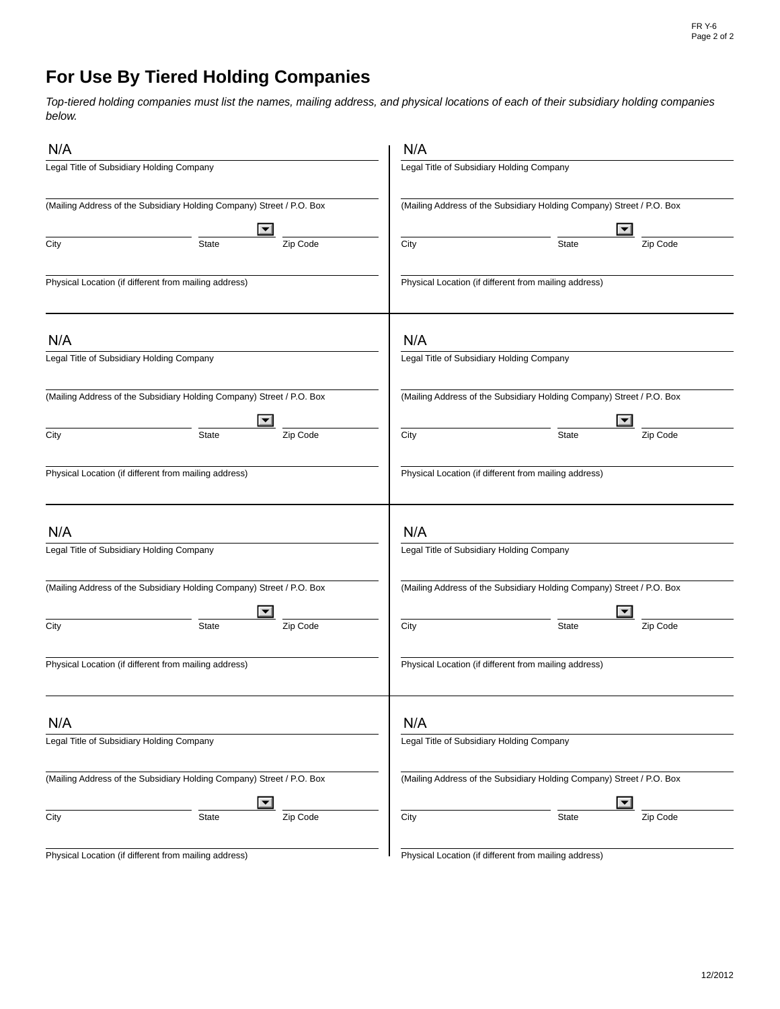# **For Use By Tiered Holding Companies**

*Top-tiered holding companies must list the names, mailing address, and physical locations of each of their subsidiary holding companies below.*

| N/A                                       |                                                                       |          | N/A                                       |                                                                       |                                  |
|-------------------------------------------|-----------------------------------------------------------------------|----------|-------------------------------------------|-----------------------------------------------------------------------|----------------------------------|
| Legal Title of Subsidiary Holding Company |                                                                       |          | Legal Title of Subsidiary Holding Company |                                                                       |                                  |
|                                           | (Mailing Address of the Subsidiary Holding Company) Street / P.O. Box |          |                                           | (Mailing Address of the Subsidiary Holding Company) Street / P.O. Box |                                  |
| City                                      | $\blacktriangledown$<br><b>State</b>                                  | Zip Code | City                                      | <b>State</b>                                                          | $\blacktriangledown$<br>Zip Code |
|                                           | Physical Location (if different from mailing address)                 |          |                                           | Physical Location (if different from mailing address)                 |                                  |
| N/A                                       |                                                                       |          | N/A                                       |                                                                       |                                  |
| Legal Title of Subsidiary Holding Company |                                                                       |          | Legal Title of Subsidiary Holding Company |                                                                       |                                  |
|                                           | (Mailing Address of the Subsidiary Holding Company) Street / P.O. Box |          |                                           | (Mailing Address of the Subsidiary Holding Company) Street / P.O. Box |                                  |
| City                                      | $\blacktriangledown$<br><b>State</b>                                  | Zip Code | City                                      | <b>State</b>                                                          | $\blacktriangledown$<br>Zip Code |
|                                           |                                                                       |          |                                           |                                                                       |                                  |
|                                           | Physical Location (if different from mailing address)                 |          |                                           | Physical Location (if different from mailing address)                 |                                  |
| N/A                                       |                                                                       |          | N/A                                       |                                                                       |                                  |
| Legal Title of Subsidiary Holding Company |                                                                       |          | Legal Title of Subsidiary Holding Company |                                                                       |                                  |
|                                           | (Mailing Address of the Subsidiary Holding Company) Street / P.O. Box |          |                                           | (Mailing Address of the Subsidiary Holding Company) Street / P.O. Box |                                  |
|                                           | $\blacktriangledown$                                                  |          |                                           |                                                                       | $\blacktriangledown$             |
| City                                      | <b>State</b>                                                          | Zip Code | City                                      | <b>State</b>                                                          | Zip Code                         |
|                                           | Physical Location (if different from mailing address)                 |          |                                           | Physical Location (if different from mailing address)                 |                                  |
| N/A                                       |                                                                       |          | N/A                                       |                                                                       |                                  |
| Legal Title of Subsidiary Holding Company |                                                                       |          | Legal Title of Subsidiary Holding Company |                                                                       |                                  |
|                                           | (Mailing Address of the Subsidiary Holding Company) Street / P.O. Box |          |                                           | (Mailing Address of the Subsidiary Holding Company) Street / P.O. Box |                                  |
|                                           | $\blacktriangledown$                                                  |          |                                           |                                                                       | $\overline{\phantom{a}}$         |
| City                                      | State                                                                 | Zip Code | City                                      | <b>State</b>                                                          | Zip Code                         |
|                                           | Physical Location (if different from mailing address)                 |          |                                           | Physical Location (if different from mailing address)                 |                                  |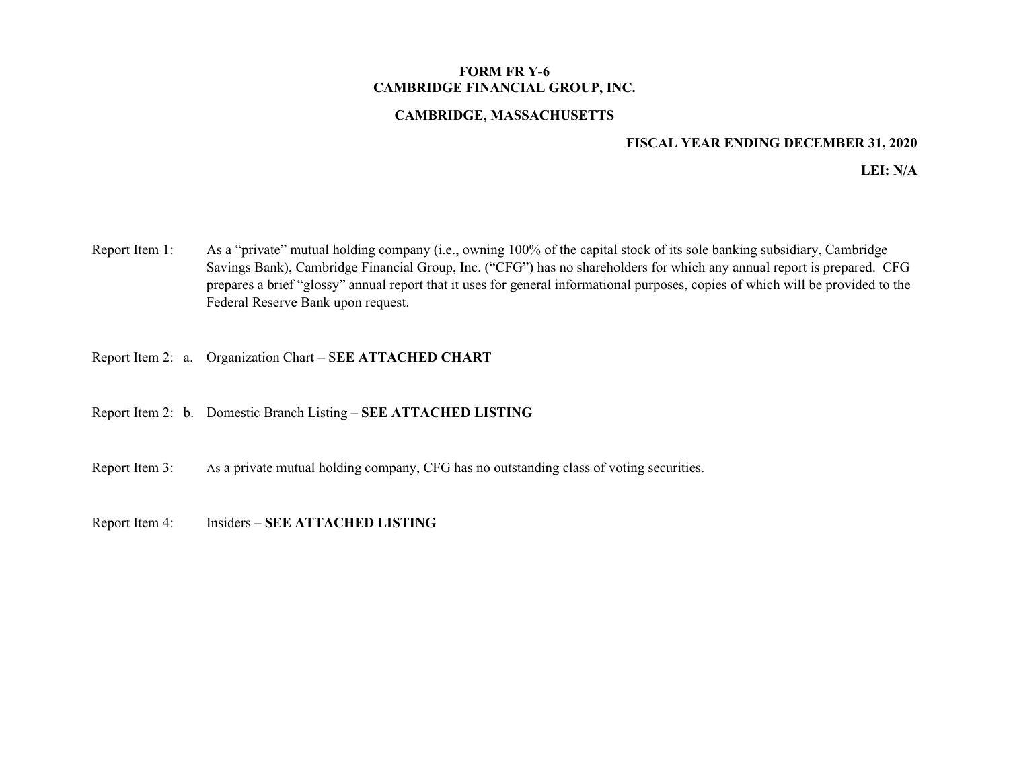# **FORM FR Y-6 CAMBRIDGE FINANCIAL GROUP, INC.**

### **CAMBRIDGE, MASSACHUSETTS**

### **FISCAL YEAR ENDING DECEMBER 31, 2020**

**LEI: N/A**

- Report Item 1: As a "private" mutual holding company (i.e., owning 100% of the capital stock of its sole banking subsidiary, Cambridge Savings Bank), Cambridge Financial Group, Inc. ("CFG") has no shareholders for which any annual report is prepared. CFG prepares a brief "glossy" annual report that it uses for general informational purposes, copies of which will be provided to the Federal Reserve Bank upon request.
- Report Item 2: a. Organization Chart S**EE ATTACHED CHART**
- Report Item 2: b. Domestic Branch Listing **SEE ATTACHED LISTING**
- Report Item 3: As a private mutual holding company, CFG has no outstanding class of voting securities.
- Report Item 4: Insiders **SEE ATTACHED LISTING**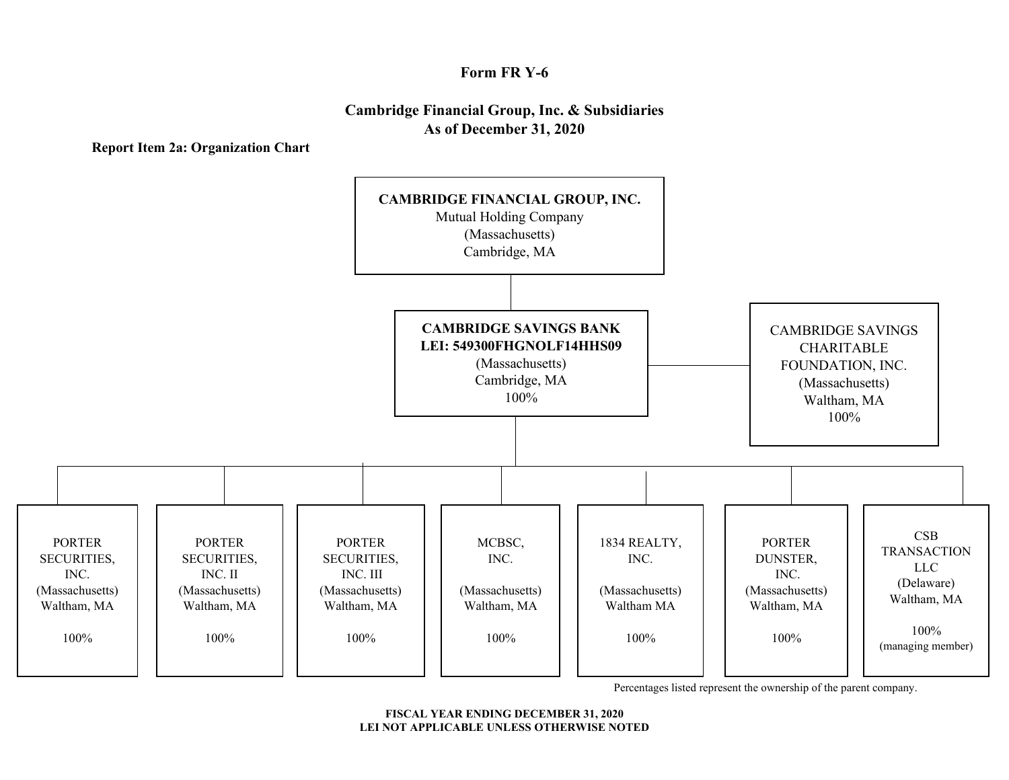# **Form FR Y-6**

# **Cambridge Financial Group, Inc. & Subsidiaries As of December 31, 2020**

**Report Item 2a: Organization Chart**



Percentages listed represent the ownership of the parent company.

**FISCAL YEAR ENDING DECEMBER 31, 2020 LEI NOT APPLICABLE UNLESS OTHERWISE NOTED**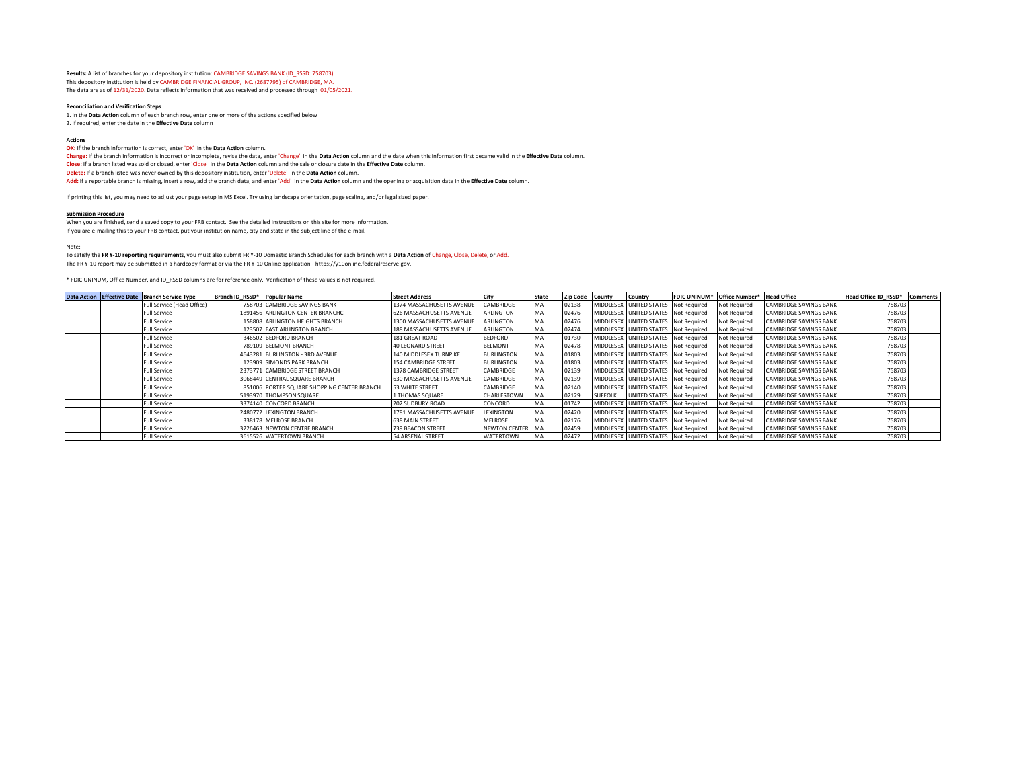**Results:** A list of branches for your depository institution: CAMBRIDGE SAVINGS BANK (ID\_RSSD: 758703). This depository institution is held by CAMBRIDGE FINANCIAL GROUP, INC. (2687795) of CAMBRIDGE, MA. The data are as of 12/31/2020. Data reflects information that was received and processed through 01/05/2021.

#### **Reconciliation and Verification Steps**

1. In the **Data Action** column of each branch row, enter one or more of the actions specified below 2. If required, enter the date in the **Effective Date** column

#### **Actions**

**OK:** If the branch information is correct, enter 'OK' in the **Data Action** column.

**Change:** If the branch information is incorrect or incomplete, revise the data, enter 'Change' in the **Data Action** column and the date when this information first became valid in the **Effective Date** column. **Close:** If a branch listed was sold or closed, enter 'Close' in the **Data Action** column and the sale or closure date in the **Effective Date** column. **Delete:** If a branch listed was never owned by this depository institution, enter 'Delete' in the **Data Action** column. **Add:** If a reportable branch is missing, insert a row, add the branch data, and enter 'Add' in the **Data Action** column and the opening or acquisition date in the **Effective Date** column.

If printing this list, you may need to adjust your page setup in MS Excel. Try using landscape orientation, page scaling, and/or legal sized paper.

#### **Submission Procedure**

When you are finished, send a saved copy to your FRB contact. See the detailed instructions on this site for more information.

If you are e-mailing this to your FRB contact, put your institution name, city and state in the subject line of the e-mail.

#### Note:

To satisfy the **FR Y-10 reporting requirements**, you must also submit FR Y-10 Domestic Branch Schedules for each branch with a **Data Action** of Change, Close, Delete, or Add. The FR Y-10 report may be submitted in a hardcopy format or via the FR Y-10 Online application - https://y10online.federalreserve.gov.

\* FDIC UNINUM, Office Number, and ID\_RSSD columns are for reference only. Verification of these values is not required.

|  | Data Action Effective Date Branch Service Type | Branch ID RSSD* | <b>Popular Name</b>                         | <b>Street Address</b>     | City              | <b>State</b> | <b>Zip Code</b> | County         | Country                              | <b>FDIC UNINUM*</b> Office Number* |                     | <b>Head Office</b>            | Head Office ID RSSD* | <b>Comments</b> |
|--|------------------------------------------------|-----------------|---------------------------------------------|---------------------------|-------------------|--------------|-----------------|----------------|--------------------------------------|------------------------------------|---------------------|-------------------------------|----------------------|-----------------|
|  | Full Service (Head Office)                     |                 | 758703 CAMBRIDGE SAVINGS BANK               | 1374 MASSACHUSETTS AVENUE | CAMBRIDGE         | MA           | 02138           | MIDDLESEX      | UNITED STATES                        | <b>Not Required</b>                | Not Required        | CAMBRIDGE SAVINGS BANK        | 758703               |                 |
|  | <b>Full Service</b>                            |                 | 1891456 ARLINGTON CENTER BRANCHC            | 626 MASSACHUSETTS AVENUE  | <b>ARLINGTON</b>  | MA           | 02476           |                | MIDDLESEX UNITED STATES Not Required |                                    | <b>Not Required</b> | <b>CAMBRIDGE SAVINGS BANK</b> | 758703               |                 |
|  | <b>Full Service</b>                            |                 | 158808 ARLINGTON HEIGHTS BRANCH             | 1300 MASSACHUSETTS AVENUE | ARLINGTON         | MA           | 02476           |                | MIDDLESEX UNITED STATES Not Required |                                    | <b>Not Required</b> | <b>CAMBRIDGE SAVINGS BANK</b> | 758703               |                 |
|  | <b>Full Service</b>                            |                 | 123507 EAST ARLINGTON BRANCH                | 188 MASSACHUSETTS AVENUE  | <b>ARLINGTON</b>  | MA           | 02474           |                | MIDDLESEX UNITED STATES Not Required |                                    | Not Required        | <b>CAMBRIDGE SAVINGS BANK</b> | 758703               |                 |
|  | <b>Full Service</b>                            |                 | 346502 BEDFORD BRANCH                       | 181 GREAT ROAD            | <b>BEDFORD</b>    | MA           | 01730           |                | MIDDLESEX UNITED STATES Not Required |                                    | <b>Not Required</b> | <b>CAMBRIDGE SAVINGS BANK</b> | 758703               |                 |
|  | <b>Full Service</b>                            |                 | 789109 BELMONT BRANCH                       | <b>40 LEONARD STREET</b>  | <b>BELMONT</b>    | MA           | 02478           |                | MIDDLESEX UNITED STATES Not Required |                                    | Not Required        | <b>CAMBRIDGE SAVINGS BANK</b> | 758703               |                 |
|  | <b>Full Service</b>                            |                 | 4643281 BURLINGTON - 3RD AVENUE             | 140 MIDDLESEX TURNPIKE    | <b>BURLINGTON</b> | MA           | 01803           |                | MIDDLESEX UNITED STATES Not Required |                                    | Not Required        | CAMBRIDGE SAVINGS BANK        | 758703               |                 |
|  | <b>Full Service</b>                            |                 | 123909 SIMONDS PARK BRANCH                  | 154 CAMBRIDGE STREET      | <b>BURLINGTON</b> | MA           | 01803           |                | MIDDLESEX UNITED STATES Not Required |                                    | Not Required        | <b>CAMBRIDGE SAVINGS BANK</b> | 758703               |                 |
|  | <b>Full Service</b>                            |                 | 2373771 CAMBRIDGE STREET BRANCH             | 1378 CAMBRIDGE STREET     | CAMBRIDGE         | MA           | 02139           |                | MIDDLESEX UNITED STATES Not Required |                                    | <b>Not Required</b> | <b>CAMBRIDGE SAVINGS BANK</b> | 758703               |                 |
|  | <b>Full Service</b>                            |                 | 3068449 CENTRAL SQUARE BRANCH               | 630 MASSACHUSETTS AVENUE  | CAMBRIDGE         | MA           | 02139           |                | MIDDLESEX UNITED STATES Not Required |                                    | <b>Not Required</b> | <b>CAMBRIDGE SAVINGS BANK</b> | 758703               |                 |
|  | Full Service                                   |                 | 851006 PORTER SQUARE SHOPPING CENTER BRANCH | 53 WHITE STREET           | CAMBRIDGE         | MA           | 02140           |                | MIDDLESEX UNITED STATES Not Required |                                    | <b>Not Required</b> | <b>CAMBRIDGE SAVINGS BANK</b> | 758703               |                 |
|  | Full Service                                   |                 | 5193970 THOMPSON SQUARE                     | 1 THOMAS SQUARE           | CHARLESTOWN       | MA           | 02129           | <b>SUFFOLK</b> | UNITED STATES Not Required           |                                    | Not Required        | <b>CAMBRIDGE SAVINGS BANK</b> | 758703               |                 |
|  | <b>Full Service</b>                            |                 | 3374140 CONCORD BRANCH                      | 202 SUDBURY ROAD          | CONCORD           | MA           | 01742           |                | MIDDLESEX UNITED STATES Not Required |                                    | <b>Not Required</b> | <b>CAMBRIDGE SAVINGS BANK</b> | 758703               |                 |
|  | Full Service                                   |                 | 2480772 LEXINGTON BRANCH                    | 1781 MASSACHUSETTS AVENUE | LEXINGTON         | MA           | 02420           |                | MIDDLESEX UNITED STATES Not Required |                                    | <b>Not Required</b> | <b>CAMBRIDGE SAVINGS BANK</b> | 758703               |                 |
|  | <b>Full Service</b>                            |                 | 338178 MELROSE BRANCH                       | 638 MAIN STREET           | <b>MELROSE</b>    | MA           | 02176           |                | MIDDLESEX UNITED STATES Not Required |                                    | Not Required        | <b>CAMBRIDGE SAVINGS BANK</b> | 758703               |                 |
|  | <b>Full Service</b>                            |                 | 3226463 NEWTON CENTRE BRANCH                | 739 BEACON STREET         | NEWTON CENTER MA  |              | 02459           |                | MIDDLESEX UNITED STATES Not Required |                                    | <b>Not Required</b> | <b>CAMBRIDGE SAVINGS BANK</b> | 758703               |                 |
|  | <b>Full Service</b>                            |                 | 3615526 WATERTOWN BRANCH                    | 54 ARSENAL STREET         | <b>WATERTOWN</b>  | MA           | 02472           |                | MIDDLESEX UNITED STATES Not Required |                                    | Not Required        | <b>CAMBRIDGE SAVINGS BANK</b> | 758703               |                 |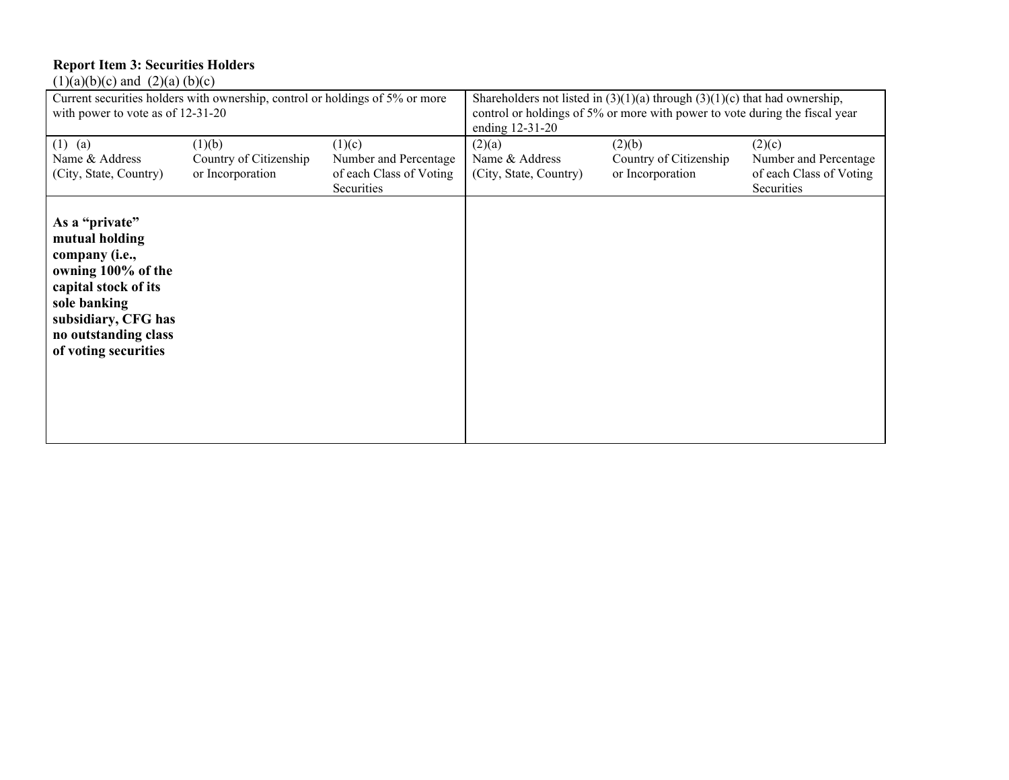# **Report Item 3: Securities Holders**

 $(1)(a)(b)(c)$  and  $(2)(a)(b)(c)$ 

| with power to vote as of $12-31-20$                                                                                                                                                     | Current securities holders with ownership, control or holdings of 5% or more |                                       | Shareholders not listed in $(3)(1)(a)$ through $(3)(1)(c)$ that had ownership,<br>control or holdings of 5% or more with power to vote during the fiscal year<br>ending 12-31-20 |                        |                                              |  |  |
|-----------------------------------------------------------------------------------------------------------------------------------------------------------------------------------------|------------------------------------------------------------------------------|---------------------------------------|----------------------------------------------------------------------------------------------------------------------------------------------------------------------------------|------------------------|----------------------------------------------|--|--|
| $(1)$ (a)                                                                                                                                                                               | (1)(b)                                                                       | (1)(c)                                | (2)(a)                                                                                                                                                                           | (2)(b)                 | (2)(c)                                       |  |  |
| Name & Address                                                                                                                                                                          | Country of Citizenship                                                       | Number and Percentage                 | Name & Address                                                                                                                                                                   | Country of Citizenship | Number and Percentage                        |  |  |
| (City, State, Country)                                                                                                                                                                  | or Incorporation                                                             | of each Class of Voting<br>Securities | (City, State, Country)                                                                                                                                                           | or Incorporation       | of each Class of Voting<br><b>Securities</b> |  |  |
| As a "private"<br>mutual holding<br>company (i.e.,<br>owning 100% of the<br>capital stock of its<br>sole banking<br>subsidiary, CFG has<br>no outstanding class<br>of voting securities |                                                                              |                                       |                                                                                                                                                                                  |                        |                                              |  |  |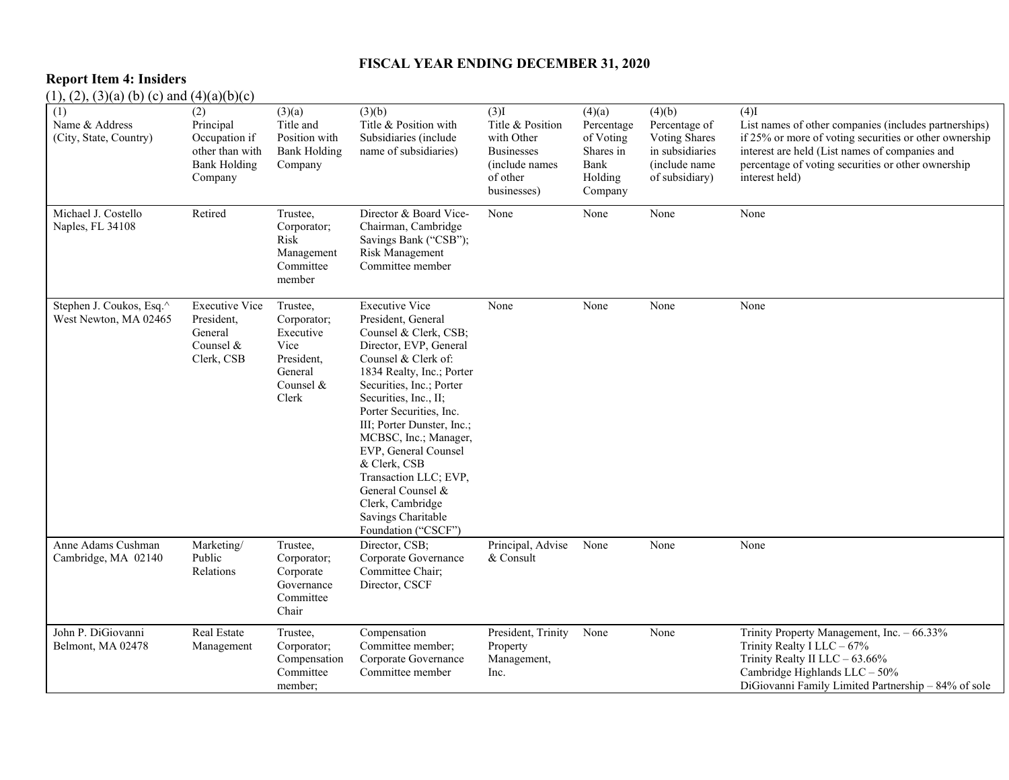# **FISCAL YEAR ENDING DECEMBER 31, 2020**

### **Report Item 4: Insiders**

 $(1), (2), (3)(a)$  (b) (c) and  $(4)(a)(b)(c)$ 

| (1)<br>Name & Address<br>(City, State, Country)   | (2)<br>Principal<br>Occupation if<br>other than with<br><b>Bank Holding</b><br>Company | (3)(a)<br>Title and<br>Position with<br><b>Bank Holding</b><br>Company                        | (3)(b)<br>Title & Position with<br>Subsidiaries (include<br>name of subsidiaries)                                                                                                                                                                                                                                                                                                                                                                | (3)I<br>Title & Position<br>with Other<br><b>Businesses</b><br>(include names<br>of other<br>businesses) | (4)(a)<br>Percentage<br>of Voting<br>Shares in<br>Bank<br>Holding<br>Company | (4)(b)<br>Percentage of<br>Voting Shares<br>in subsidiaries<br>(include name<br>of subsidiary) | $(4)$ I<br>List names of other companies (includes partnerships)<br>if 25% or more of voting securities or other ownership<br>interest are held (List names of companies and<br>percentage of voting securities or other ownership<br>interest held) |
|---------------------------------------------------|----------------------------------------------------------------------------------------|-----------------------------------------------------------------------------------------------|--------------------------------------------------------------------------------------------------------------------------------------------------------------------------------------------------------------------------------------------------------------------------------------------------------------------------------------------------------------------------------------------------------------------------------------------------|----------------------------------------------------------------------------------------------------------|------------------------------------------------------------------------------|------------------------------------------------------------------------------------------------|------------------------------------------------------------------------------------------------------------------------------------------------------------------------------------------------------------------------------------------------------|
| Michael J. Costello<br>Naples, FL 34108           | Retired                                                                                | Trustee,<br>Corporator;<br>Risk<br>Management<br>Committee<br>member                          | Director & Board Vice-<br>Chairman, Cambridge<br>Savings Bank ("CSB");<br>Risk Management<br>Committee member                                                                                                                                                                                                                                                                                                                                    | None                                                                                                     | None                                                                         | None                                                                                           | None                                                                                                                                                                                                                                                 |
| Stephen J. Coukos, Esq.^<br>West Newton, MA 02465 | <b>Executive Vice</b><br>President,<br>General<br>Counsel &<br>Clerk, CSB              | Trustee,<br>Corporator;<br>Executive<br>Vice<br>President,<br>General<br>Counsel $&$<br>Clerk | <b>Executive Vice</b><br>President, General<br>Counsel & Clerk, CSB;<br>Director, EVP, General<br>Counsel & Clerk of:<br>1834 Realty, Inc.; Porter<br>Securities, Inc.; Porter<br>Securities, Inc., II;<br>Porter Securities, Inc.<br>III; Porter Dunster, Inc.;<br>MCBSC, Inc.; Manager,<br>EVP, General Counsel<br>& Clerk, CSB<br>Transaction LLC; EVP,<br>General Counsel &<br>Clerk, Cambridge<br>Savings Charitable<br>Foundation ("CSCF") | None                                                                                                     | None                                                                         | None                                                                                           | None                                                                                                                                                                                                                                                 |
| Anne Adams Cushman<br>Cambridge, MA 02140         | Marketing/<br>Public<br>Relations                                                      | Trustee,<br>Corporator;<br>Corporate<br>Governance<br>Committee<br>Chair                      | Director, CSB;<br>Corporate Governance<br>Committee Chair;<br>Director, CSCF                                                                                                                                                                                                                                                                                                                                                                     | Principal, Advise<br>& Consult                                                                           | None                                                                         | None                                                                                           | None                                                                                                                                                                                                                                                 |
| John P. DiGiovanni<br>Belmont, MA 02478           | Real Estate<br>Management                                                              | Trustee,<br>Corporator;<br>Compensation<br>Committee<br>member;                               | Compensation<br>Committee member;<br>Corporate Governance<br>Committee member                                                                                                                                                                                                                                                                                                                                                                    | President, Trinity<br>Property<br>Management,<br>Inc.                                                    | None                                                                         | None                                                                                           | Trinity Property Management, Inc. - 66.33%<br>Trinity Realty I LLC - 67%<br>Trinity Realty II LLC - 63.66%<br>Cambridge Highlands LLC - 50%<br>DiGiovanni Family Limited Partnership - 84% of sole                                                   |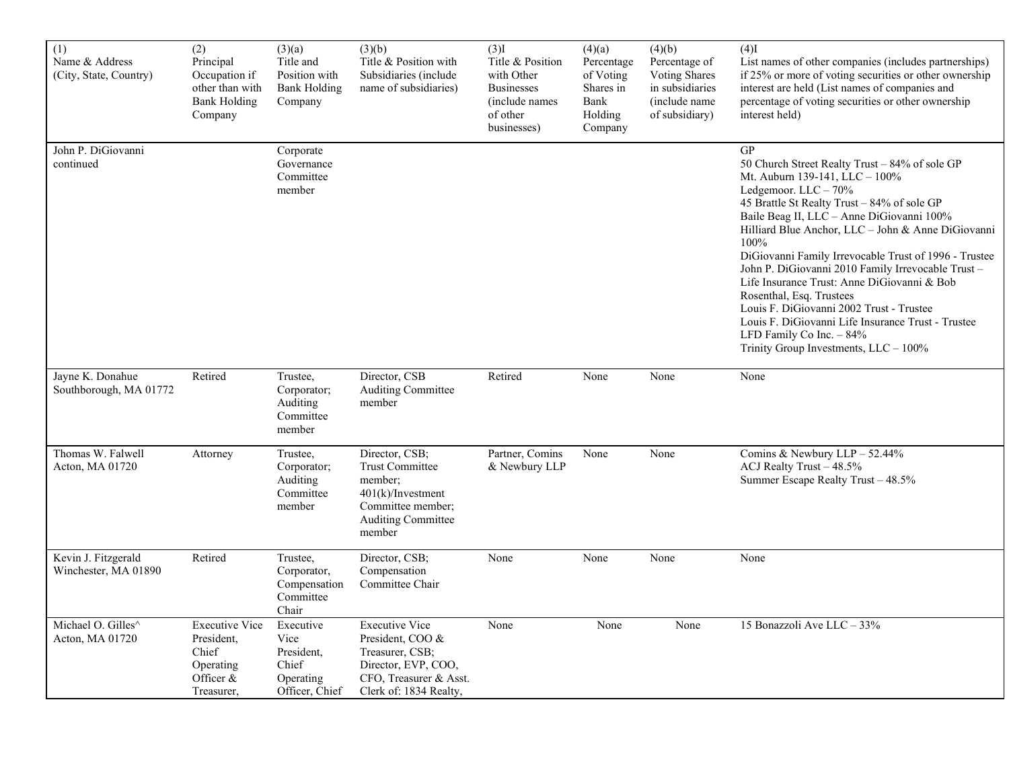| (1)<br>Name & Address<br>(City, State, Country) | (2)<br>Principal<br>Occupation if<br>other than with<br><b>Bank Holding</b><br>Company | (3)(a)<br>Title and<br>Position with<br><b>Bank Holding</b><br>Company  | (3)(b)<br>Title & Position with<br>Subsidiaries (include<br>name of subsidiaries)                                                       | (3)I<br>Title & Position<br>with Other<br><b>Businesses</b><br>(include names<br>of other<br>businesses) | (4)(a)<br>Percentage<br>of Voting<br>Shares in<br>Bank<br>Holding<br>Company | (4)(b)<br>Percentage of<br><b>Voting Shares</b><br>in subsidiaries<br>(include name<br>of subsidiary) | $(4)$ I<br>List names of other companies (includes partnerships)<br>if 25% or more of voting securities or other ownership<br>interest are held (List names of companies and<br>percentage of voting securities or other ownership<br>interest held)                                                                                                                                                                                                                                                                                                                                                                                         |
|-------------------------------------------------|----------------------------------------------------------------------------------------|-------------------------------------------------------------------------|-----------------------------------------------------------------------------------------------------------------------------------------|----------------------------------------------------------------------------------------------------------|------------------------------------------------------------------------------|-------------------------------------------------------------------------------------------------------|----------------------------------------------------------------------------------------------------------------------------------------------------------------------------------------------------------------------------------------------------------------------------------------------------------------------------------------------------------------------------------------------------------------------------------------------------------------------------------------------------------------------------------------------------------------------------------------------------------------------------------------------|
| John P. DiGiovanni<br>continued                 |                                                                                        | Corporate<br>Governance<br>Committee<br>member                          |                                                                                                                                         |                                                                                                          |                                                                              |                                                                                                       | GP<br>50 Church Street Realty Trust - 84% of sole GP<br>Mt. Auburn 139-141, LLC - 100%<br>Ledgemoor. LLC – 70%<br>45 Brattle St Realty Trust - 84% of sole GP<br>Baile Beag II, LLC - Anne DiGiovanni 100%<br>Hilliard Blue Anchor, LLC - John & Anne DiGiovanni<br>100%<br>DiGiovanni Family Irrevocable Trust of 1996 - Trustee<br>John P. DiGiovanni 2010 Family Irrevocable Trust-<br>Life Insurance Trust: Anne DiGiovanni & Bob<br>Rosenthal, Esq. Trustees<br>Louis F. DiGiovanni 2002 Trust - Trustee<br>Louis F. DiGiovanni Life Insurance Trust - Trustee<br>LFD Family Co Inc. $-84%$<br>Trinity Group Investments, $LLC - 100\%$ |
| Jayne K. Donahue<br>Southborough, MA 01772      | Retired                                                                                | Trustee,<br>Corporator;<br>Auditing<br>Committee<br>member              | Director, CSB<br><b>Auditing Committee</b><br>member                                                                                    | Retired                                                                                                  | None                                                                         | None                                                                                                  | None                                                                                                                                                                                                                                                                                                                                                                                                                                                                                                                                                                                                                                         |
| Thomas W. Falwell<br>Acton, MA 01720            | Attorney                                                                               | Trustee,<br>Corporator;<br>Auditing<br>Committee<br>member              | Director, CSB;<br>Trust Committee<br>member;<br>$401(k)/$ Investment<br>Committee member;<br><b>Auditing Committee</b><br>member        | Partner, Comins<br>& Newbury LLP                                                                         | None                                                                         | None                                                                                                  | Comins & Newbury LLP $-$ 52.44%<br>ACJ Realty Trust - 48.5%<br>Summer Escape Realty Trust - 48.5%                                                                                                                                                                                                                                                                                                                                                                                                                                                                                                                                            |
| Kevin J. Fitzgerald<br>Winchester, MA 01890     | Retired                                                                                | Trustee,<br>Corporator,<br>Compensation<br>Committee<br>Chair           | Director, CSB;<br>Compensation<br>Committee Chair                                                                                       | None                                                                                                     | None                                                                         | None                                                                                                  | None                                                                                                                                                                                                                                                                                                                                                                                                                                                                                                                                                                                                                                         |
| Michael O. Gilles^<br>Acton, MA 01720           | <b>Executive Vice</b><br>President,<br>Chief<br>Operating<br>Officer $&$<br>Treasurer, | Executive<br>Vice<br>President,<br>Chief<br>Operating<br>Officer, Chief | <b>Executive Vice</b><br>President, COO &<br>Treasurer, CSB;<br>Director, EVP, COO,<br>CFO, Treasurer & Asst.<br>Clerk of: 1834 Realty, | None                                                                                                     | None                                                                         | None                                                                                                  | 15 Bonazzoli Ave LLC - 33%                                                                                                                                                                                                                                                                                                                                                                                                                                                                                                                                                                                                                   |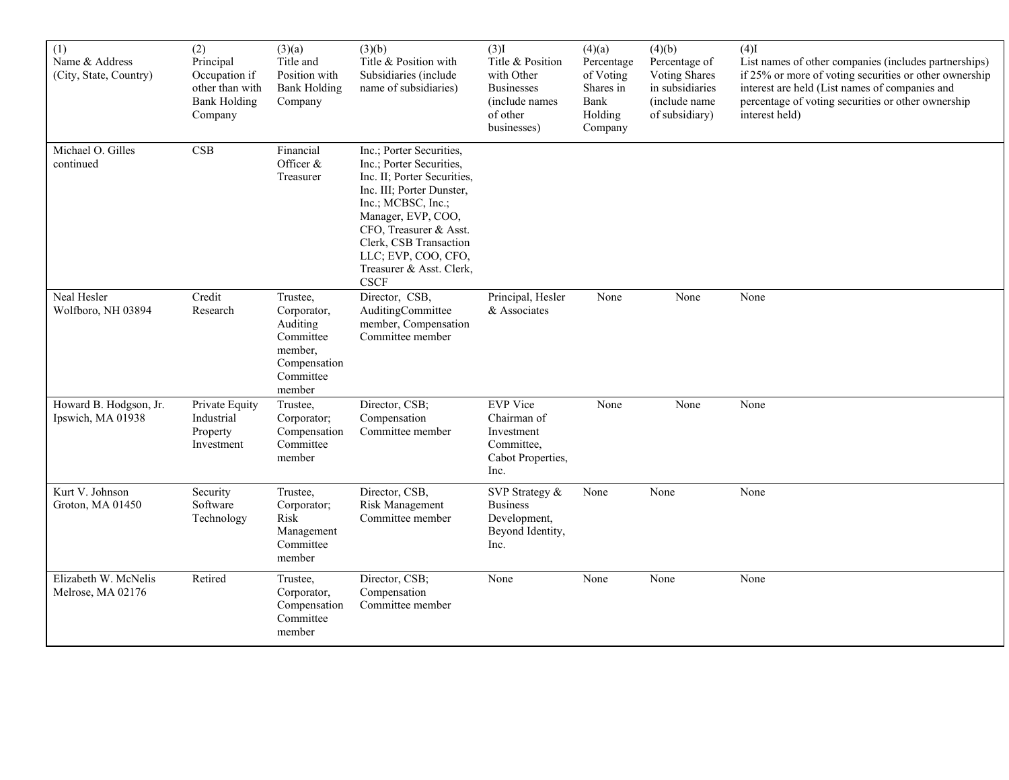| (1)<br>Name & Address<br>(City, State, Country) | (2)<br>Principal<br>Occupation if<br>other than with<br><b>Bank Holding</b><br>Company | (3)(a)<br>Title and<br>Position with<br><b>Bank Holding</b><br>Company                             | (3)(b)<br>Title & Position with<br>Subsidiaries (include<br>name of subsidiaries)                                                                                                                                                                                                                   | (3)I<br>Title & Position<br>with Other<br><b>Businesses</b><br>(include names)<br>of other<br>businesses) | (4)(a)<br>Percentage<br>of Voting<br>Shares in<br>Bank<br>Holding<br>Company | (4)(b)<br>Percentage of<br><b>Voting Shares</b><br>in subsidiaries<br>(include name)<br>of subsidiary) | (4)I<br>List names of other companies (includes partnerships)<br>if 25% or more of voting securities or other ownership<br>interest are held (List names of companies and<br>percentage of voting securities or other ownership<br>interest held) |
|-------------------------------------------------|----------------------------------------------------------------------------------------|----------------------------------------------------------------------------------------------------|-----------------------------------------------------------------------------------------------------------------------------------------------------------------------------------------------------------------------------------------------------------------------------------------------------|-----------------------------------------------------------------------------------------------------------|------------------------------------------------------------------------------|--------------------------------------------------------------------------------------------------------|---------------------------------------------------------------------------------------------------------------------------------------------------------------------------------------------------------------------------------------------------|
| Michael O. Gilles<br>continued                  | CSB                                                                                    | Financial<br>Officer &<br>Treasurer                                                                | Inc.; Porter Securities,<br>Inc.; Porter Securities,<br>Inc. II; Porter Securities,<br>Inc. III; Porter Dunster,<br>Inc.; MCBSC, Inc.;<br>Manager, EVP, COO,<br>CFO, Treasurer & Asst.<br>Clerk, CSB Transaction<br>LLC; EVP, COO, CFO,<br>Treasurer & Asst. Clerk,<br>$\ensuremath{\mathsf{CSCF}}$ |                                                                                                           |                                                                              |                                                                                                        |                                                                                                                                                                                                                                                   |
| Neal Hesler<br>Wolfboro, NH 03894               | Credit<br>Research                                                                     | Trustee,<br>Corporator,<br>Auditing<br>Committee<br>member,<br>Compensation<br>Committee<br>member | Director, CSB,<br>AuditingCommittee<br>member, Compensation<br>Committee member                                                                                                                                                                                                                     | Principal, Hesler<br>& Associates                                                                         | None                                                                         | None                                                                                                   | None                                                                                                                                                                                                                                              |
| Howard B. Hodgson, Jr.<br>Ipswich, MA 01938     | Private Equity<br>Industrial<br>Property<br>Investment                                 | Trustee,<br>Corporator;<br>Compensation<br>Committee<br>member                                     | Director, CSB;<br>Compensation<br>Committee member                                                                                                                                                                                                                                                  | <b>EVP</b> Vice<br>Chairman of<br>Investment<br>Committee,<br>Cabot Properties,<br>Inc.                   | None                                                                         | None                                                                                                   | None                                                                                                                                                                                                                                              |
| Kurt V. Johnson<br>Groton, MA 01450             | Security<br>Software<br>Technology                                                     | Trustee,<br>Corporator;<br>Risk<br>Management<br>Committee<br>member                               | Director, CSB,<br>Risk Management<br>Committee member                                                                                                                                                                                                                                               | SVP Strategy &<br><b>Business</b><br>Development,<br>Beyond Identity,<br>Inc.                             | None                                                                         | None                                                                                                   | None                                                                                                                                                                                                                                              |
| Elizabeth W. McNelis<br>Melrose, MA 02176       | Retired                                                                                | Trustee,<br>Corporator,<br>Compensation<br>Committee<br>member                                     | Director, CSB;<br>Compensation<br>Committee member                                                                                                                                                                                                                                                  | None                                                                                                      | None                                                                         | None                                                                                                   | None                                                                                                                                                                                                                                              |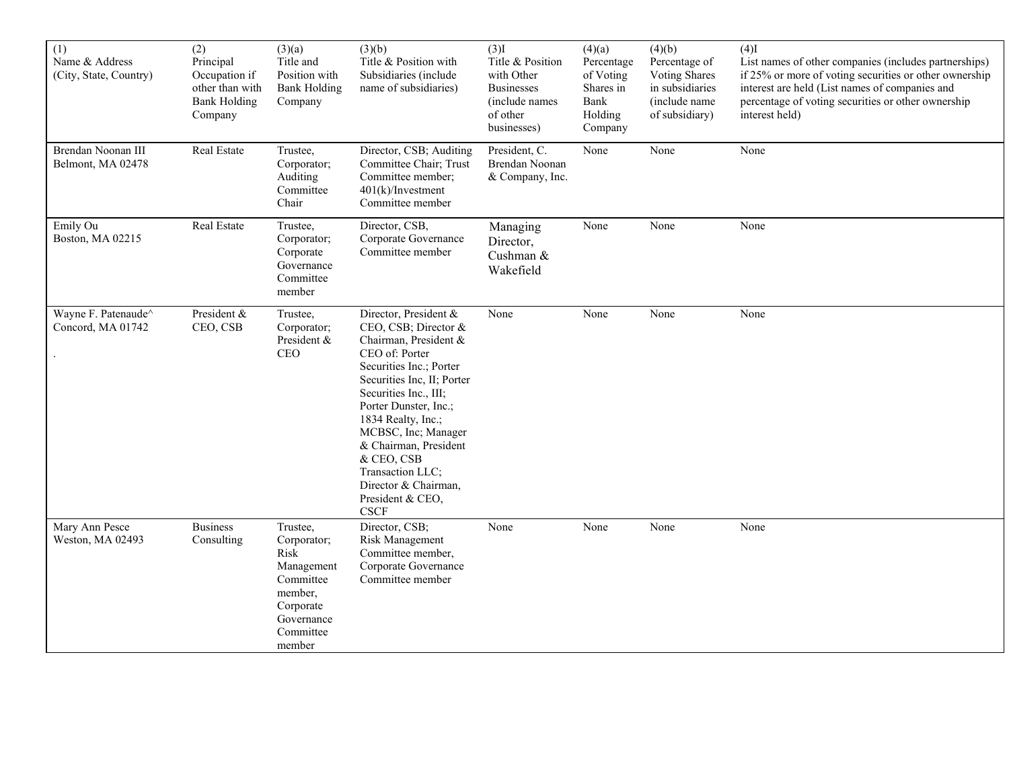| (1)<br>Name & Address<br>(City, State, Country) | (2)<br>Principal<br>Occupation if<br>other than with<br><b>Bank Holding</b><br>Company | (3)(a)<br>Title and<br>Position with<br><b>Bank Holding</b><br>Company                                                  | (3)(b)<br>Title & Position with<br>Subsidiaries (include<br>name of subsidiaries)                                                                                                                                                                                                                                                                               | (3)I<br>Title & Position<br>with Other<br><b>Businesses</b><br>(include names<br>of other<br>businesses) | (4)(a)<br>Percentage<br>of Voting<br>Shares in<br>Bank<br>Holding<br>Company | (4)(b)<br>Percentage of<br>Voting Shares<br>in subsidiaries<br>(include name<br>of subsidiary) | $(4)$ I<br>List names of other companies (includes partnerships)<br>if 25% or more of voting securities or other ownership<br>interest are held (List names of companies and<br>percentage of voting securities or other ownership<br>interest held) |
|-------------------------------------------------|----------------------------------------------------------------------------------------|-------------------------------------------------------------------------------------------------------------------------|-----------------------------------------------------------------------------------------------------------------------------------------------------------------------------------------------------------------------------------------------------------------------------------------------------------------------------------------------------------------|----------------------------------------------------------------------------------------------------------|------------------------------------------------------------------------------|------------------------------------------------------------------------------------------------|------------------------------------------------------------------------------------------------------------------------------------------------------------------------------------------------------------------------------------------------------|
| Brendan Noonan III<br>Belmont, MA 02478         | Real Estate                                                                            | Trustee,<br>Corporator;<br>Auditing<br>Committee<br>Chair                                                               | Director, CSB; Auditing<br>Committee Chair; Trust<br>Committee member;<br>$401(k)/$ Investment<br>Committee member                                                                                                                                                                                                                                              | President, C.<br>Brendan Noonan<br>& Company, Inc.                                                       | None                                                                         | None                                                                                           | None                                                                                                                                                                                                                                                 |
| Emily Ou<br>Boston, MA 02215                    | Real Estate                                                                            | Trustee,<br>Corporator;<br>Corporate<br>Governance<br>Committee<br>member                                               | Director, CSB,<br>Corporate Governance<br>Committee member                                                                                                                                                                                                                                                                                                      | Managing<br>Director,<br>Cushman &<br>Wakefield                                                          | None                                                                         | None                                                                                           | None                                                                                                                                                                                                                                                 |
| Wayne F. Patenaude^<br>Concord, MA 01742        | President &<br>CEO, CSB                                                                | Trustee,<br>Corporator;<br>President &<br><b>CEO</b>                                                                    | Director, President &<br>CEO, CSB; Director &<br>Chairman, President &<br>CEO of: Porter<br>Securities Inc.; Porter<br>Securities Inc, II; Porter<br>Securities Inc., III;<br>Porter Dunster, Inc.;<br>1834 Realty, Inc.;<br>MCBSC, Inc; Manager<br>& Chairman, President<br>& CEO, CSB<br>Transaction LLC;<br>Director & Chairman,<br>President & CEO,<br>CSCF | None                                                                                                     | None                                                                         | None                                                                                           | None                                                                                                                                                                                                                                                 |
| Mary Ann Pesce<br>Weston, MA 02493              | <b>Business</b><br>Consulting                                                          | Trustee,<br>Corporator;<br>Risk<br>Management<br>Committee<br>member,<br>Corporate<br>Governance<br>Committee<br>member | Director, CSB;<br>Risk Management<br>Committee member,<br>Corporate Governance<br>Committee member                                                                                                                                                                                                                                                              | None                                                                                                     | None                                                                         | None                                                                                           | None                                                                                                                                                                                                                                                 |